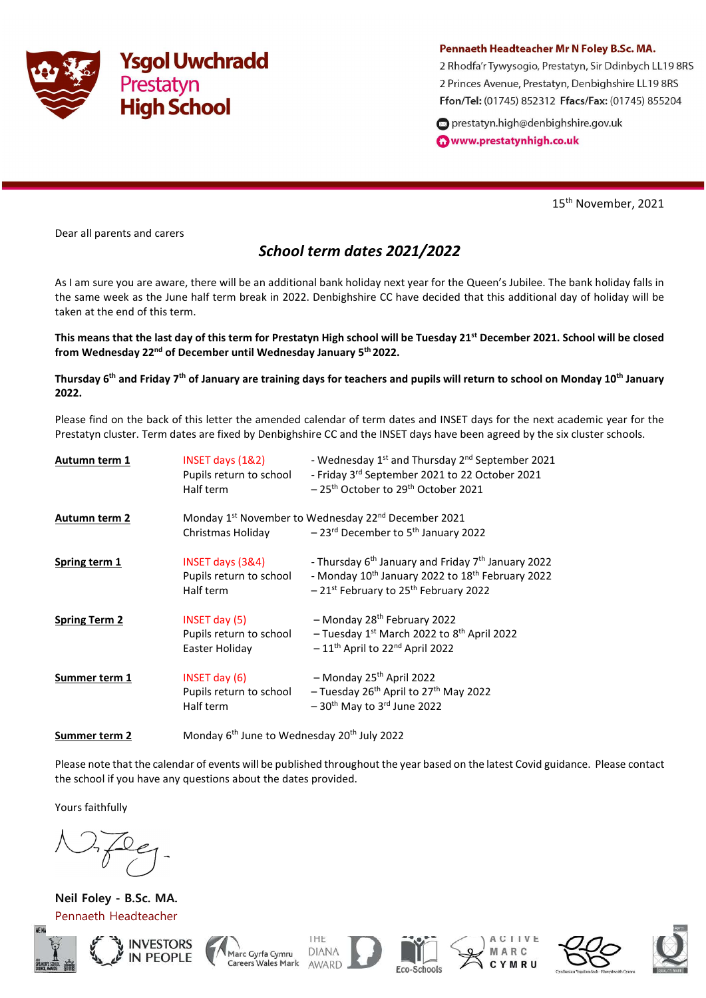

## Pennaeth Headteacher Mr N Foley B.Sc. MA.

2 Rhodfa'r Tywysogio, Prestatyn, Sir Ddinbych LL19 8RS 2 Princes Avenue, Prestatyn, Denbighshire LL19 8RS Ffon/Tel: (01745) 852312 Ffacs/Fax: (01745) 855204

prestatyn.high@denbighshire.gov.uk www.prestatynhigh.co.uk

15<sup>th</sup> November, 2021

Dear all parents and carers

## School term dates 2021/2022

As I am sure you are aware, there will be an additional bank holiday next year for the Queen's Jubilee. The bank holiday falls in the same week as the June half term break in 2022. Denbighshire CC have decided that this additional day of holiday will be taken at the end of this term.

This means that the last day of this term for Prestatyn High school will be Tuesday 21<sup>st</sup> December 2021. School will be closed from Wednesday 22<sup>nd</sup> of December until Wednesday January 5<sup>th</sup> 2022.

Thursday 6<sup>th</sup> and Friday 7<sup>th</sup> of January are training days for teachers and pupils will return to school on Monday 10<sup>th</sup> January 2022.

Please find on the back of this letter the amended calendar of term dates and INSET days for the next academic year for the Prestatyn cluster. Term dates are fixed by Denbighshire CC and the INSET days have been agreed by the six cluster schools.

| Autumn term 1        | INSET days $(18.2)$<br>Pupils return to school<br>Half term | - Wednesday 1 <sup>st</sup> and Thursday 2 <sup>nd</sup> September 2021<br>- Friday 3rd September 2021 to 22 October 2021<br>-25 <sup>th</sup> October to 29 <sup>th</sup> October 2021                    |
|----------------------|-------------------------------------------------------------|------------------------------------------------------------------------------------------------------------------------------------------------------------------------------------------------------------|
| <b>Autumn term 2</b> | Christmas Holiday                                           | Monday 1 <sup>st</sup> November to Wednesday 22 <sup>nd</sup> December 2021<br>$-23$ <sup>rd</sup> December to 5 <sup>th</sup> January 2022                                                                |
| Spring term 1        | INSET days (3&4)<br>Pupils return to school<br>Half term    | - Thursday 6 <sup>th</sup> January and Friday 7 <sup>th</sup> January 2022<br>- Monday 10 <sup>th</sup> January 2022 to 18 <sup>th</sup> February 2022<br>-21st February to 25 <sup>th</sup> February 2022 |
| <b>Spring Term 2</b> | INSET day (5)<br>Pupils return to school<br>Easter Holiday  | - Monday 28 <sup>th</sup> February 2022<br>- Tuesday $1^{st}$ March 2022 to $8^{th}$ April 2022<br>$-11$ <sup>th</sup> April to 22 <sup>nd</sup> April 2022                                                |
| Summer term 1        | INSET day (6)<br>Pupils return to school<br>Half term       | - Monday 25 <sup>th</sup> April 2022<br>- Tuesday 26 <sup>th</sup> April to 27 <sup>th</sup> May 2022<br>$-30$ <sup>th</sup> May to 3 <sup>rd</sup> June 2022                                              |

**Summer term 2** Monday  $6^{th}$  June to Wednesday 20<sup>th</sup> July 2022

Please note that the calendar of events will be published throughout the year based on the latest Covid guidance. Please contact the school if you have any questions about the dates provided.

Yours faithfully

Neil Foley - B.Sc. MA. Pennaeth Headteacher